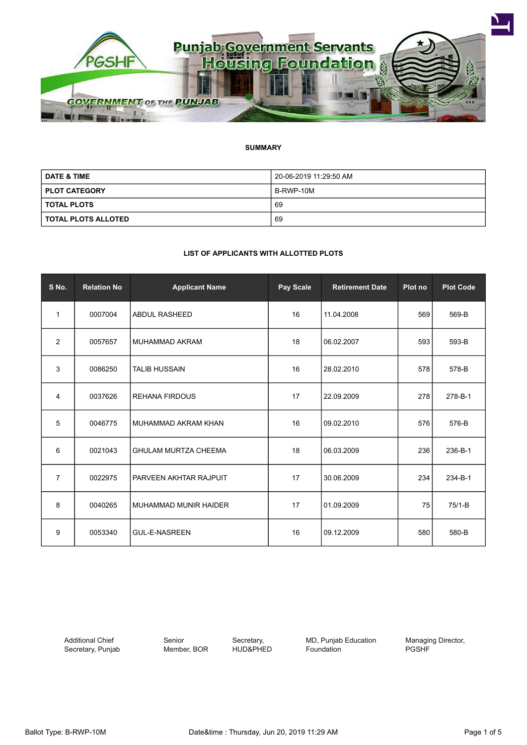

### **SUMMARY**

| <b>DATE &amp; TIME</b> | 20-06-2019 11:29:50 AM |  |
|------------------------|------------------------|--|
| <b>PLOT CATEGORY</b>   | B-RWP-10M              |  |
| <b>TOTAL PLOTS</b>     | 69                     |  |
| TOTAL PLOTS ALLOTED    | 69                     |  |

#### **LIST OF APPLICANTS WITH ALLOTTED PLOTS**

| S No.          | <b>Relation No</b> | <b>Applicant Name</b>         | Pay Scale | <b>Retirement Date</b> | Plot no | <b>Plot Code</b> |
|----------------|--------------------|-------------------------------|-----------|------------------------|---------|------------------|
| 1              | 0007004            | <b>ABDUL RASHEED</b>          | 16        | 11.04.2008             | 569     | 569-B            |
| 2              | 0057657            | MUHAMMAD AKRAM                | 18        | 06.02.2007             | 593     | 593-B            |
| 3              | 0086250            | <b>TALIB HUSSAIN</b>          | 16        | 28.02.2010             | 578     | 578-B            |
| 4              | 0037626            | <b>REHANA FIRDOUS</b>         | 17        | 22.09.2009             | 278     | 278-B-1          |
| 5              | 0046775            | MUHAMMAD AKRAM KHAN           | 16        | 09.02.2010             | 576     | 576-B            |
| 6              | 0021043            | <b>GHULAM MURTZA CHEEMA</b>   | 18        | 06.03.2009             | 236     | 236-B-1          |
| $\overline{7}$ | 0022975            | <b>PARVEEN AKHTAR RAJPUIT</b> | 17        | 30.06.2009             | 234     | 234-B-1          |
| 8              | 0040265            | MUHAMMAD MUNIR HAIDER         | 17        | 01.09.2009             | 75      | $75/1-B$         |
| 9              | 0053340            | <b>GUL-E-NASREEN</b>          | 16        | 09.12.2009             | 580     | 580-B            |

Additional Chief Secretary, Punjab Senior Member, BOR

Secretary, HUD&PHED MD, Punjab Education Foundation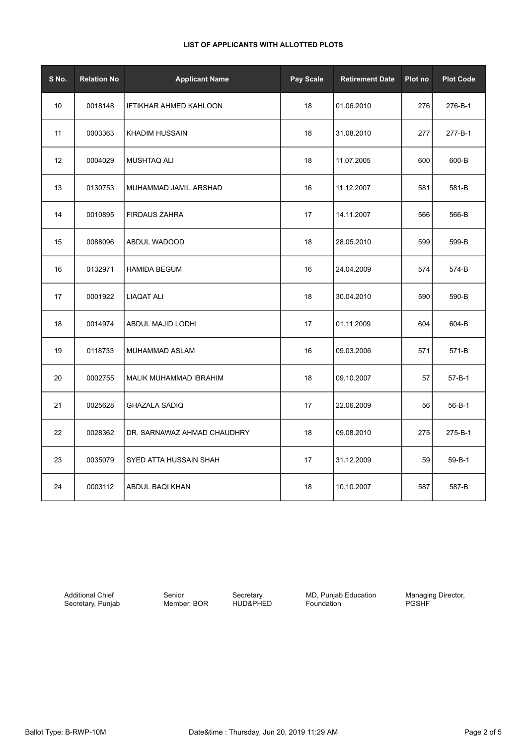| S No. | <b>Relation No</b> | <b>Applicant Name</b>       | Pay Scale | <b>Retirement Date</b> | Plot no | <b>Plot Code</b> |
|-------|--------------------|-----------------------------|-----------|------------------------|---------|------------------|
| 10    | 0018148            | IFTIKHAR AHMED KAHLOON      | 18        | 01.06.2010             | 276     | 276-B-1          |
| 11    | 0003363            | <b>KHADIM HUSSAIN</b>       | 18        | 31.08.2010             | 277     | 277-B-1          |
| 12    | 0004029            | <b>MUSHTAQ ALI</b>          | 18        | 11.07.2005             | 600     | 600-B            |
| 13    | 0130753            | MUHAMMAD JAMIL ARSHAD       | 16        | 11.12.2007             | 581     | 581-B            |
| 14    | 0010895            | <b>FIRDAUS ZAHRA</b>        | 17        | 14.11.2007             | 566     | 566-B            |
| 15    | 0088096            | ABDUL WADOOD                | 18        | 28.05.2010             | 599     | 599-B            |
| 16    | 0132971            | <b>HAMIDA BEGUM</b>         | 16        | 24.04.2009             | 574     | 574-B            |
| 17    | 0001922            | <b>LIAQAT ALI</b>           | 18        | 30.04.2010             | 590     | 590-B            |
| 18    | 0014974            | ABDUL MAJID LODHI           | 17        | 01.11.2009             | 604     | 604-B            |
| 19    | 0118733            | MUHAMMAD ASLAM              | 16        | 09.03.2006             | 571     | 571-B            |
| 20    | 0002755            | MALIK MUHAMMAD IBRAHIM      | 18        | 09.10.2007             | 57      | 57-B-1           |
| 21    | 0025628            | <b>GHAZALA SADIQ</b>        | 17        | 22.06.2009             | 56      | $56 - B - 1$     |
| 22    | 0028362            | DR. SARNAWAZ AHMAD CHAUDHRY | 18        | 09.08.2010             | 275     | 275-B-1          |
| 23    | 0035079            | SYED ATTA HUSSAIN SHAH      | 17        | 31.12.2009             | 59      | $59 - B - 1$     |
| 24    | 0003112            | ABDUL BAQI KHAN             | 18        | 10.10.2007             | 587     | 587-B            |

Additional Chief Secretary, Punjab

Senior Member, BOR

Secretary, HUD&PHED MD, Punjab Education Foundation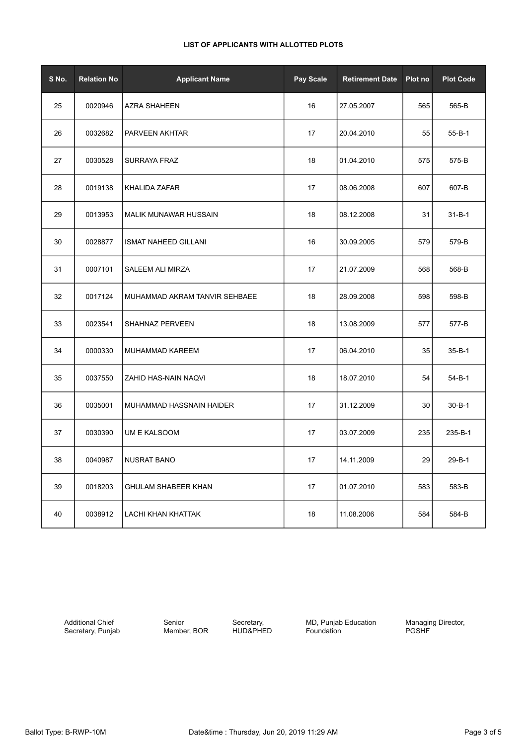| S No. | <b>Relation No</b> | <b>Applicant Name</b>         | Pay Scale | <b>Retirement Date</b> | Plot no | <b>Plot Code</b> |
|-------|--------------------|-------------------------------|-----------|------------------------|---------|------------------|
| 25    | 0020946            | <b>AZRA SHAHEEN</b>           | 16        | 27.05.2007             | 565     | 565-B            |
| 26    | 0032682            | PARVEEN AKHTAR                | 17        | 20.04.2010             | 55      | $55 - B - 1$     |
| 27    | 0030528            | <b>SURRAYA FRAZ</b>           | 18        | 01.04.2010             | 575     | 575-B            |
| 28    | 0019138            | KHALIDA ZAFAR                 | 17        | 08.06.2008             | 607     | 607-B            |
| 29    | 0013953            | <b>MALIK MUNAWAR HUSSAIN</b>  | 18        | 08.12.2008             | 31      | $31 - B - 1$     |
| 30    | 0028877            | <b>ISMAT NAHEED GILLANI</b>   | 16        | 30.09.2005             | 579     | 579-B            |
| 31    | 0007101            | SALEEM ALI MIRZA              | 17        | 21.07.2009             | 568     | 568-B            |
| 32    | 0017124            | MUHAMMAD AKRAM TANVIR SEHBAEE | 18        | 28.09.2008             | 598     | 598-B            |
| 33    | 0023541            | SHAHNAZ PERVEEN               | 18        | 13.08.2009             | 577     | 577-B            |
| 34    | 0000330            | MUHAMMAD KAREEM               | 17        | 06.04.2010             | 35      | $35 - B - 1$     |
| 35    | 0037550            | ZAHID HAS-NAIN NAQVI          | 18        | 18.07.2010             | 54      | $54 - B - 1$     |
| 36    | 0035001            | MUHAMMAD HASSNAIN HAIDER      | 17        | 31.12.2009             | 30      | $30 - B - 1$     |
| 37    | 0030390            | UM E KALSOOM                  | 17        | 03.07.2009             | 235     | 235-B-1          |
| 38    | 0040987            | <b>NUSRAT BANO</b>            | 17        | 14.11.2009             | 29      | 29-B-1           |
| 39    | 0018203            | <b>GHULAM SHABEER KHAN</b>    | 17        | 01.07.2010             | 583     | 583-B            |
| 40    | 0038912            | LACHI KHAN KHATTAK            | 18        | 11.08.2006             | 584     | 584-B            |

# **LIST OF APPLICANTS WITH ALLOTTED PLOTS**

Additional Chief Secretary, Punjab

Senior Member, BOR

Secretary, HUD&PHED MD, Punjab Education Foundation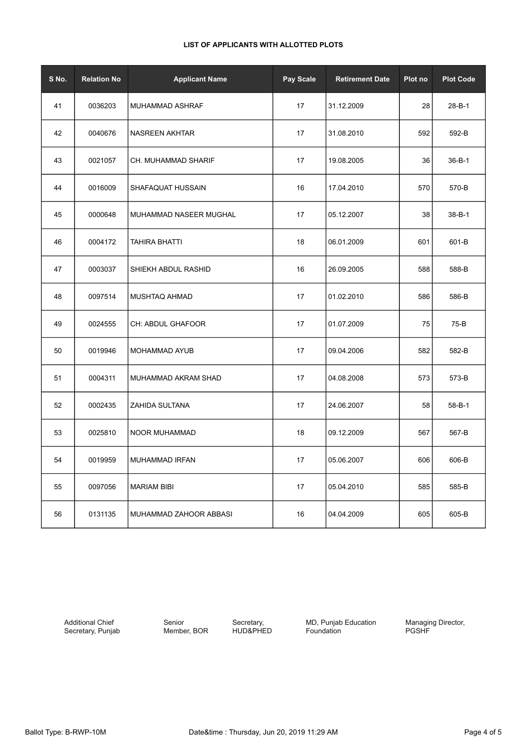# **LIST OF APPLICANTS WITH ALLOTTED PLOTS**

| S No. | <b>Relation No</b> | <b>Applicant Name</b>  | Pay Scale | <b>Retirement Date</b> | Plot no | <b>Plot Code</b> |
|-------|--------------------|------------------------|-----------|------------------------|---------|------------------|
| 41    | 0036203            | MUHAMMAD ASHRAF        | 17        | 31.12.2009             | 28      | $28 - B - 1$     |
| 42    | 0040676            | NASREEN AKHTAR         | 17        | 31.08.2010             | 592     | 592-B            |
| 43    | 0021057            | CH. MUHAMMAD SHARIF    | 17        | 19.08.2005             | 36      | $36 - B - 1$     |
| 44    | 0016009            | SHAFAQUAT HUSSAIN      | 16        | 17.04.2010             | 570     | 570-B            |
| 45    | 0000648            | MUHAMMAD NASEER MUGHAL | 17        | 05.12.2007             | 38      | $38 - B - 1$     |
| 46    | 0004172            | TAHIRA BHATTI          | 18        | 06.01.2009             | 601     | 601-B            |
| 47    | 0003037            | SHIEKH ABDUL RASHID    | 16        | 26.09.2005             | 588     | 588-B            |
| 48    | 0097514            | MUSHTAQ AHMAD          | 17        | 01.02.2010             | 586     | 586-B            |
| 49    | 0024555            | CH: ABDUL GHAFOOR      | 17        | 01.07.2009             | 75      | 75-B             |
| 50    | 0019946            | MOHAMMAD AYUB          | 17        | 09.04.2006             | 582     | 582-B            |
| 51    | 0004311            | MUHAMMAD AKRAM SHAD    | 17        | 04.08.2008             | 573     | 573-B            |
| 52    | 0002435            | ZAHIDA SULTANA         | 17        | 24.06.2007             | 58      | 58-B-1           |
| 53    | 0025810            | NOOR MUHAMMAD          | 18        | 09.12.2009             | 567     | 567-B            |
| 54    | 0019959            | MUHAMMAD IRFAN         | 17        | 05.06.2007             | 606     | 606-B            |
| 55    | 0097056            | <b>MARIAM BIBI</b>     | 17        | 05.04.2010             | 585     | 585-B            |
| 56    | 0131135            | MUHAMMAD ZAHOOR ABBASI | 16        | 04.04.2009             | 605     | 605-B            |

Additional Chief Secretary, Punjab Senior Member, BOR

Secretary, HUD&PHED **MD, Punjab Education** Foundation